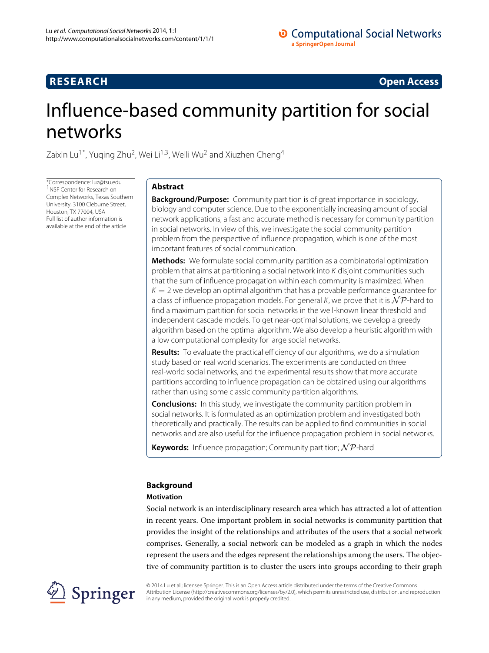# **RESEARCH Open Access**

# Influence-based community partition for social networks

Zaixin Lu<sup>1\*</sup>, Yuqing Zhu<sup>2</sup>, Wei Li<sup>1,3</sup>, Weili Wu<sup>2</sup> and Xiuzhen Cheng<sup>4</sup>

\*Correspondence: [luz@tsu.edu](mailto:luz@tsu.edu) 1NSF Center for Research on Complex Networks, Texas Southern University, 3100 Cleburne Street, Houston, TX 77004, USA Full list of author information is available at the end of the article

# **Abstract**

**Background/Purpose:** Community partition is of great importance in sociology, biology and computer science. Due to the exponentially increasing amount of social network applications, a fast and accurate method is necessary for community partition in social networks. In view of this, we investigate the social community partition problem from the perspective of influence propagation, which is one of the most important features of social communication.

**Methods:** We formulate social community partition as a combinatorial optimization problem that aims at partitioning a social network into K disjoint communities such that the sum of influence propagation within each community is maximized. When  $K = 2$  we develop an optimal algorithm that has a provable performance quarantee for a class of influence propagation models. For general K, we prove that it is  $\mathcal{NP}$ -hard to find a maximum partition for social networks in the well-known linear threshold and independent cascade models. To get near-optimal solutions, we develop a greedy algorithm based on the optimal algorithm. We also develop a heuristic algorithm with a low computational complexity for large social networks.

**Results:** To evaluate the practical efficiency of our algorithms, we do a simulation study based on real world scenarios. The experiments are conducted on three real-world social networks, and the experimental results show that more accurate partitions according to influence propagation can be obtained using our algorithms rather than using some classic community partition algorithms.

**Conclusions:** In this study, we investigate the community partition problem in social networks. It is formulated as an optimization problem and investigated both theoretically and practically. The results can be applied to find communities in social networks and are also useful for the influence propagation problem in social networks.

**Keywords:** Influence propagation; Community partition; NP-hard

# **Background**

# **Motivation**

Social network is an interdisciplinary research area which has attracted a lot of attention in recent years. One important problem in social networks is community partition that provides the insight of the relationships and attributes of the users that a social network comprises. Generally, a social network can be modeled as a graph in which the nodes represent the users and the edges represent the relationships among the users. The objective of community partition is to cluster the users into groups according to their graph



© 2014 Lu et al.; licensee Springer. This is an Open Access article distributed under the terms of the Creative Commons Attribution License [\(http://creativecommons.org/licenses/by/2.0\)](http://creativecommons.org/licenses/by/2.0), which permits unrestricted use, distribution, and reproduction in any medium, provided the original work is properly credited.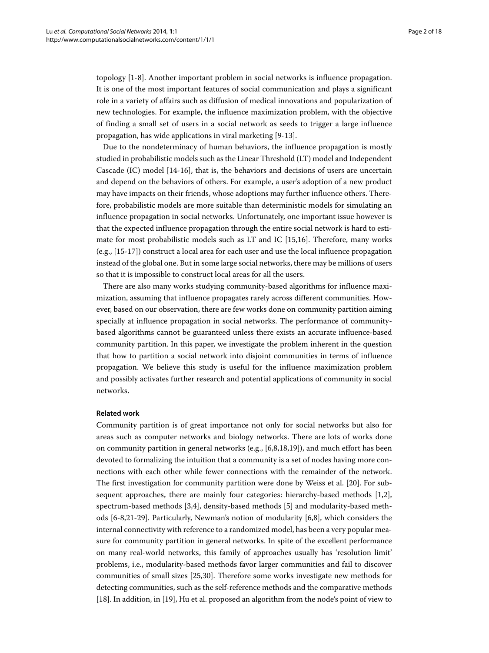topology [\[1-](#page-16-0)[8\]](#page-16-1). Another important problem in social networks is influence propagation. It is one of the most important features of social communication and plays a significant role in a variety of affairs such as diffusion of medical innovations and popularization of new technologies. For example, the influence maximization problem, with the objective of finding a small set of users in a social network as seeds to trigger a large influence propagation, has wide applications in viral marketing [\[9](#page-16-2)[-13\]](#page-16-3).

Due to the nondeterminacy of human behaviors, the influence propagation is mostly studied in probabilistic models such as the Linear Threshold (LT) model and Independent Cascade (IC) model [\[14](#page-16-4)[-16\]](#page-16-5), that is, the behaviors and decisions of users are uncertain and depend on the behaviors of others. For example, a user's adoption of a new product may have impacts on their friends, whose adoptions may further influence others. Therefore, probabilistic models are more suitable than deterministic models for simulating an influence propagation in social networks. Unfortunately, one important issue however is that the expected influence propagation through the entire social network is hard to estimate for most probabilistic models such as LT and IC [\[15](#page-16-6)[,16\]](#page-16-5). Therefore, many works (e.g., [\[15](#page-16-6)[-17\]](#page-16-7)) construct a local area for each user and use the local influence propagation instead of the global one. But in some large social networks, there may be millions of users so that it is impossible to construct local areas for all the users.

There are also many works studying community-based algorithms for influence maximization, assuming that influence propagates rarely across different communities. However, based on our observation, there are few works done on community partition aiming specially at influence propagation in social networks. The performance of communitybased algorithms cannot be guaranteed unless there exists an accurate influence-based community partition. In this paper, we investigate the problem inherent in the question that how to partition a social network into disjoint communities in terms of influence propagation. We believe this study is useful for the influence maximization problem and possibly activates further research and potential applications of community in social networks.

#### <span id="page-1-0"></span>**Related work**

Community partition is of great importance not only for social networks but also for areas such as computer networks and biology networks. There are lots of works done on community partition in general networks (e.g., [\[6,](#page-16-8)[8](#page-16-1)[,18](#page-17-0)[,19\]](#page-17-1)), and much effort has been devoted to formalizing the intuition that a community is a set of nodes having more connections with each other while fewer connections with the remainder of the network. The first investigation for community partition were done by Weiss et al. [\[20\]](#page-17-2). For subsequent approaches, there are mainly four categories: hierarchy-based methods [\[1,](#page-16-0)[2\]](#page-16-9), spectrum-based methods [\[3](#page-16-10)[,4\]](#page-16-11), density-based methods [\[5\]](#page-16-12) and modularity-based methods [\[6](#page-16-8)[-8,](#page-16-1)[21](#page-17-3)[-29\]](#page-17-4). Particularly, Newman's notion of modularity [\[6,](#page-16-8)[8\]](#page-16-1), which considers the internal connectivity with reference to a randomized model, has been a very popular measure for community partition in general networks. In spite of the excellent performance on many real-world networks, this family of approaches usually has 'resolution limit' problems, i.e., modularity-based methods favor larger communities and fail to discover communities of small sizes [\[25](#page-17-5)[,30\]](#page-17-6). Therefore some works investigate new methods for detecting communities, such as the self-reference methods and the comparative methods [\[18\]](#page-17-0). In addition, in [\[19\]](#page-17-1), Hu et al. proposed an algorithm from the node's point of view to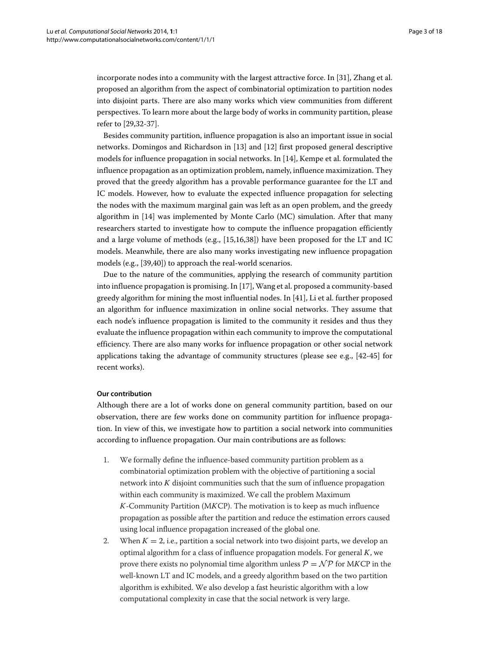incorporate nodes into a community with the largest attractive force. In [\[31\]](#page-17-7), Zhang et al. proposed an algorithm from the aspect of combinatorial optimization to partition nodes into disjoint parts. There are also many works which view communities from different perspectives. To learn more about the large body of works in community partition, please refer to [\[29](#page-17-4)[,32-](#page-17-8)[37\]](#page-17-9).

Besides community partition, influence propagation is also an important issue in social networks. Domingos and Richardson in [\[13\]](#page-16-3) and [\[12\]](#page-16-13) first proposed general descriptive models for influence propagation in social networks. In [\[14\]](#page-16-4), Kempe et al. formulated the influence propagation as an optimization problem, namely, influence maximization. They proved that the greedy algorithm has a provable performance guarantee for the LT and IC models. However, how to evaluate the expected influence propagation for selecting the nodes with the maximum marginal gain was left as an open problem, and the greedy algorithm in [\[14\]](#page-16-4) was implemented by Monte Carlo (MC) simulation. After that many researchers started to investigate how to compute the influence propagation efficiently and a large volume of methods (e.g.,  $[15,16,38]$  $[15,16,38]$  $[15,16,38]$ ) have been proposed for the LT and IC models. Meanwhile, there are also many works investigating new influence propagation models (e.g., [\[39](#page-17-11)[,40\]](#page-17-12)) to approach the real-world scenarios.

Due to the nature of the communities, applying the research of community partition into influence propagation is promising. In [\[17\]](#page-16-7), Wang et al. proposed a community-based greedy algorithm for mining the most influential nodes. In [\[41\]](#page-17-13), Li et al. further proposed an algorithm for influence maximization in online social networks. They assume that each node's influence propagation is limited to the community it resides and thus they evaluate the influence propagation within each community to improve the computational efficiency. There are also many works for influence propagation or other social network applications taking the advantage of community structures (please see e.g., [\[42](#page-17-14)[-45\]](#page-17-15) for recent works).

#### **Our contribution**

Although there are a lot of works done on general community partition, based on our observation, there are few works done on community partition for influence propagation. In view of this, we investigate how to partition a social network into communities according to influence propagation. Our main contributions are as follows:

- 1. We formally define the influence-based community partition problem as a combinatorial optimization problem with the objective of partitioning a social network into *K* disjoint communities such that the sum of influence propagation within each community is maximized. We call the problem Maximum *K*-Community Partition (M*K*CP). The motivation is to keep as much influence propagation as possible after the partition and reduce the estimation errors caused using local influence propagation increased of the global one.
- 2. When  $K = 2$ , i.e., partition a social network into two disjoint parts, we develop an optimal algorithm for a class of influence propagation models. For general *K*, we prove there exists no polynomial time algorithm unless  $P = \mathcal{NP}$  for M*KCP* in the well-known LT and IC models, and a greedy algorithm based on the two partition algorithm is exhibited. We also develop a fast heuristic algorithm with a low computational complexity in case that the social network is very large.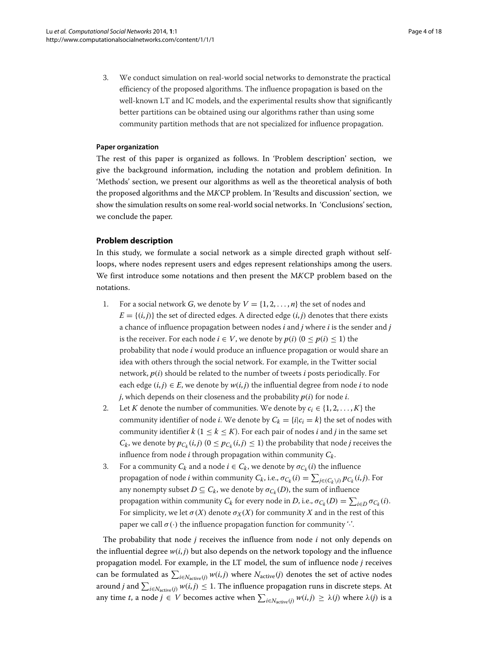3. We conduct simulation on real-world social networks to demonstrate the practical efficiency of the proposed algorithms. The influence propagation is based on the well-known LT and IC models, and the experimental results show that significantly better partitions can be obtained using our algorithms rather than using some community partition methods that are not specialized for influence propagation.

#### **Paper organization**

The rest of this paper is organized as follows. In ['Problem description'](#page-3-0) section, we give the background information, including the notation and problem definition. In ['Methods'](#page-5-0) section, we present our algorithms as well as the theoretical analysis of both the proposed algorithms and the M*K*CP problem. In ['Results and discussion'](#page-11-0) section, we show the simulation results on some real-world social networks. In ['Conclusions'](#page-15-0) section, we conclude the paper.

#### <span id="page-3-0"></span>**Problem description**

In this study, we formulate a social network as a simple directed graph without selfloops, where nodes represent users and edges represent relationships among the users. We first introduce some notations and then present the M*K*CP problem based on the notations.

- 1. For a social network *G*, we denote by  $V = \{1, 2, ..., n\}$  the set of nodes and  $E = \{(i, j)\}$  the set of directed edges. A directed edge  $(i, j)$  denotes that there exists a chance of influence propagation between nodes *i* and *j* where *i* is the sender and *j* is the receiver. For each node  $i \in V$ , we denote by  $p(i)$   $(0 \le p(i) \le 1)$  the probability that node *i* would produce an influence propagation or would share an idea with others through the social network. For example, in the Twitter social network, *p(i)* should be related to the number of tweets *i* posts periodically. For each edge  $(i, j) \in E$ , we denote by  $w(i, j)$  the influential degree from node *i* to node *j*, which depends on their closeness and the probability  $p(i)$  for node *i*.
- 2. Let *K* denote the number of communities. We denote by  $c_i \in \{1, 2, \ldots, K\}$  the community identifier of node *i*. We denote by  $C_k = \{i | c_i = k\}$  the set of nodes with community identifier  $k$  ( $1 \leq k \leq K$ ). For each pair of nodes *i* and *j* in the same set *C<sub>k</sub>*, we denote by  $p_{C_k}(i, j)$  ( $0 \leq p_{C_k}(i, j) \leq 1$ ) the probability that node *j* receives the influence from node *i* through propagation within community *Ck*.
- 3. For a community  $C_k$  and a node  $i \in C_k$ , we denote by  $\sigma_{C_k}(i)$  the influence propagation of node *i* within community  $C_k$ , i.e.,  $\sigma_{C_k}(i) = \sum_{j \in (C_k \setminus i)} p_{C_k}(i,j)$ . For any nonempty subset  $D \subseteq C_k$ , we denote by  $\sigma_{C_k}(D)$ , the sum of influence propagation within community  $C_k$  for every node in *D*, i.e.,  $\sigma_{C_k}(D) = \sum_{i \in D} \sigma_{C_k}(i)$ . For simplicity, we let  $\sigma(X)$  denote  $\sigma_X(X)$  for community *X* and in the rest of this paper we call  $\sigma(\cdot)$  the influence propagation function for community  $\cdot$ .

The probability that node *j* receives the influence from node *i* not only depends on the influential degree  $w(i, j)$  but also depends on the network topology and the influence propagation model. For example, in the LT model, the sum of influence node *j* receives can be formulated as  $\sum_{i\in N_{\text{active}}(j)}w(i,j)$  where  $N_{\text{active}}(j)$  denotes the set of active nodes around  $j$  and  $\sum_{i\in N_{\text{active}}(j)}w(i,j)\leq 1.$  The influence propagation runs in discrete steps. At any time *t*, a node  $j \in V$  becomes active when  $\sum_{i \in N_{\text{active}}(j)} w(i,j) \geq \lambda(j)$  where  $\lambda(j)$  is a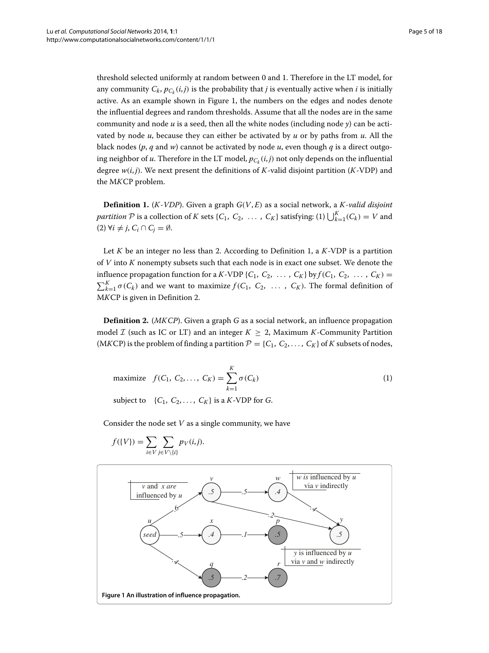threshold selected uniformly at random between 0 and 1. Therefore in the LT model, for any community  $C_k$ ,  $p_{C_k}(i,j)$  is the probability that *j* is eventually active when *i* is initially active. As an example shown in Figure [1,](#page-4-0) the numbers on the edges and nodes denote the influential degrees and random thresholds. Assume that all the nodes are in the same community and node  $u$  is a seed, then all the white nodes (including node  $y$ ) can be activated by node *u*, because they can either be activated by *u* or by paths from *u*. All the black nodes (*p*, *q* and *w*) cannot be activated by node *u*, even though *q* is a direct outgoing neighbor of *u*. Therefore in the LT model,  $p_{C_k}(i, j)$  not only depends on the influential degree *w(i*, *j)*. We next present the definitions of *K*-valid disjoint partition (*K*-VDP) and the M*K*CP problem.

<span id="page-4-1"></span>**Definition 1.** (*K*-*VDP*). Given a graph *G(V*, *E)* as a social network, a *K*-*valid disjoint partition*  $P$  is a collection of  $K$  sets { $C_1$ ,  $C_2$ ,  $\ldots$ ,  $C_K$ } satisfying: (1)  $\bigcup_{k=1}^{K} (C_k) = V$  and  $(2) \forall i \neq j, C_i ∩ C_j = ∅.$ 

Let *K* be an integer no less than 2. According to Definition [1,](#page-4-1) a *K*-VDP is a partition of *V* into *K* nonempty subsets such that each node is in exact one subset. We denote the influence propagation function for a *K*-VDP {*C*<sub>1</sub>, *C*<sub>2</sub>, ..., *C<sub>K</sub>*} by  $f(C_1, C_2, \ldots, C_K)$  =  $\sum_{k=1}^{K} \sigma(C_k)$  and we want to maximize  $f(C_1, C_2, \ldots, C_K)$ . The formal definition of M*K*CP is given in Definition [2.](#page-4-2)

<span id="page-4-2"></span>**Definition 2.** (*MKCP*). Given a graph *G* as a social network, an influence propagation model *I* (such as IC or LT) and an integer  $K \geq 2$ , Maximum *K*-Community Partition (M*K*CP) is the problem of finding a partition  $P = \{C_1, C_2, \ldots, C_K\}$  of *K* subsets of nodes,

maximize 
$$
f(C_1, C_2,..., C_K) = \sum_{k=1}^{K} \sigma(C_k)
$$
 (1)

subject to  $\{C_1, C_2, \ldots, C_K\}$  is a *K*-VDP for *G*.

Consider the node set *V* as a single community, we have

<span id="page-4-0"></span>

$$
f({V}) = \sum_{i \in V} \sum_{j \in V \setminus \{i\}} p_V(i,j).
$$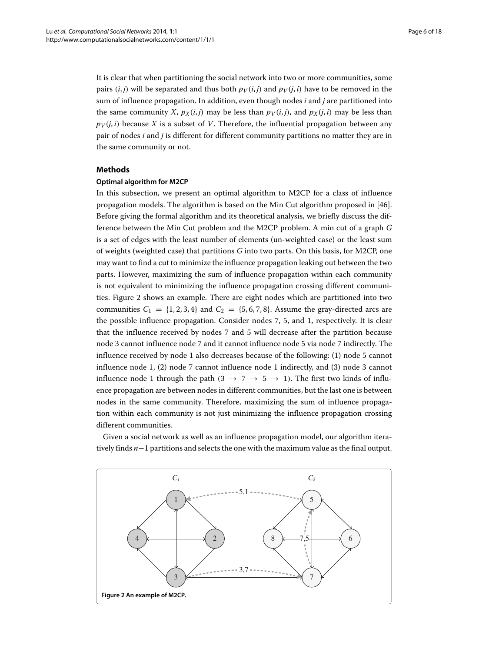It is clear that when partitioning the social network into two or more communities, some pairs  $(i, j)$  will be separated and thus both  $p_V(i, j)$  and  $p_V(j, i)$  have to be removed in the sum of influence propagation. In addition, even though nodes *i* and *j* are partitioned into the same community *X*,  $p_X(i, j)$  may be less than  $p_Y(i, j)$ , and  $p_X(j, i)$  may be less than  $p_V(i, i)$  because X is a subset of V. Therefore, the influential propagation between any pair of nodes *i* and *j* is different for different community partitions no matter they are in the same community or not.

# <span id="page-5-0"></span>**Methods**

#### **Optimal algorithm for M2CP**

In this subsection, we present an optimal algorithm to M2CP for a class of influence propagation models. The algorithm is based on the Min Cut algorithm proposed in [\[46\]](#page-17-16). Before giving the formal algorithm and its theoretical analysis, we briefly discuss the difference between the Min Cut problem and the M2CP problem. A min cut of a graph *G* is a set of edges with the least number of elements (un-weighted case) or the least sum of weights (weighted case) that partitions *G* into two parts. On this basis, for M2CP, one may want to find a cut to minimize the influence propagation leaking out between the two parts. However, maximizing the sum of influence propagation within each community is not equivalent to minimizing the influence propagation crossing different communities. Figure [2](#page-5-1) shows an example. There are eight nodes which are partitioned into two communities  $C_1 = \{1, 2, 3, 4\}$  and  $C_2 = \{5, 6, 7, 8\}$ . Assume the gray-directed arcs are the possible influence propagation. Consider nodes 7, 5, and 1, respectively. It is clear that the influence received by nodes 7 and 5 will decrease after the partition because node 3 cannot influence node 7 and it cannot influence node 5 via node 7 indirectly. The influence received by node 1 also decreases because of the following: (1) node 5 cannot influence node 1, (2) node 7 cannot influence node 1 indirectly, and (3) node 3 cannot influence node 1 through the path  $(3 \rightarrow 7 \rightarrow 5 \rightarrow 1)$ . The first two kinds of influence propagation are between nodes in different communities, but the last one is between nodes in the same community. Therefore, maximizing the sum of influence propagation within each community is not just minimizing the influence propagation crossing different communities.

Given a social network as well as an influence propagation model, our algorithm iteratively finds *n*−1 partitions and selects the one with the maximum value as the final output.

<span id="page-5-1"></span>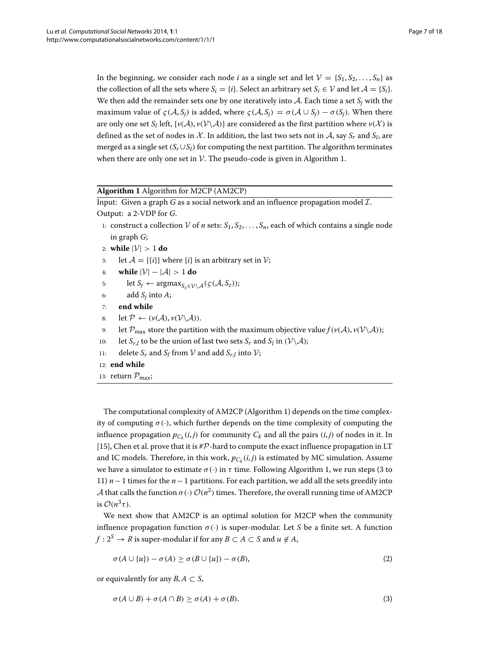In the beginning, we consider each node *i* as a single set and let  $V = \{S_1, S_2, \ldots, S_n\}$  as the collection of all the sets where  $S_i = \{i\}$ . Select an arbitrary set  $S_i \in V$  and let  $\mathcal{A} = \{S_i\}$ . We then add the remainder sets one by one iteratively into  $A$ . Each time a set  $S_i$  with the maximum value of *ς* ( $A$ ,  $S_i$ ) is added, where  $\zeta(A, S_i) = \sigma(A \cup S_i) - \sigma(S_i)$ . When there are only one set  $S_l$  left,  $\{v(\lambda), v(\lambda)\}$  are considered as the first partition where  $v(\lambda)$  is defined as the set of nodes in  $\mathcal{X}$ . In addition, the last two sets not in  $\mathcal{A}$ , say  $\mathcal{S}_r$  and  $\mathcal{S}_l$ , are merged as a single set  $(S_r \cup S_l)$  for computing the next partition. The algorithm terminates when there are only one set in  $V$ . The pseudo-code is given in Algorithm [1.](#page-6-0)

# <span id="page-6-0"></span>**Algorithm 1** Algorithm for M2CP (AM2CP)

Input: Given a graph  $G$  as a social network and an influence propagation model  $I$ . Output: a 2-VDP for *G*.

- 1: construct a collection  $V$  of *n* sets:  $S_1, S_2, \ldots, S_n$ , each of which contains a single node in graph *G*;
- 2: **while**  $|\mathcal{V}| > 1$  **do**
- 3: let  $A = \{\{i\}\}\$ where  $\{i\}$  is an arbitrary set in  $\mathcal{V}$ ;
- 4: **while** |V|−|A| *>* 1 **do**
- 5: let  $S_j \leftarrow \argmax_{S_z \in \mathcal{V} \setminus A} (\varsigma(A, S_z));$
- 6: add  $S_i$  into  $A_i$ ;
- 7: **end while**
- 8: let  $\mathcal{P} \leftarrow (\nu(\mathcal{A}), \nu(\mathcal{V} \backslash \mathcal{A})).$
- 9: let  $\mathcal{P}_{\text{max}}$  store the partition with the maximum objective value  $f(\nu(\mathcal{A}), \nu(\mathcal{V}\setminus\mathcal{A}))$ ;
- 10: let  $S_{r,l}$  to be the union of last two sets  $S_r$  and  $S_l$  in  $(\mathcal{V}\setminus\mathcal{A})$ ;
- 11: delete  $S_r$  and  $S_l$  from  $V$  and add  $S_{r,l}$  into  $V$ ;
- 12: **end while**
- 13: return  $\mathcal{P}_{\text{max}}$ ;

The computational complexity of AM2CP (Algorithm [1\)](#page-6-0) depends on the time complexity of computing  $\sigma(\cdot)$ , which further depends on the time complexity of computing the influence propagation  $p_{C_k}(i, j)$  for community  $C_k$  and all the pairs  $(i, j)$  of nodes in it. In [\[15\]](#page-16-6), Chen et al. prove that it is  $\#P$ -hard to compute the exact influence propagation in LT and IC models. Therefore, in this work,  $p_{C_k}(i,j)$  is estimated by MC simulation. Assume we have a simulator to estimate  $\sigma(\cdot)$  in  $\tau$  time. Following Algorithm [1,](#page-6-0) we run steps (3 to 11) *n*−1 times for the *n*−1 partitions. For each partition, we add all the sets greedily into A that calls the function *σ* (·)  $O(n^2)$  times. Therefore, the overall running time of AM2CP is  $O(n^3\tau)$ .

We next show that AM2CP is an optimal solution for M2CP when the community influence propagation function  $\sigma(\cdot)$  is super-modular. Let *S* be a finite set. A function *f* :  $2^S \rightarrow R$  is super-modular if for any  $B \subset A \subset S$  and  $u \notin A$ ,

$$
\sigma(A \cup \{u\}) - \sigma(A) \ge \sigma(B \cup \{u\}) - \sigma(B),\tag{2}
$$

or equivalently for any *B*,  $A \subset S$ ,

$$
\sigma(A \cup B) + \sigma(A \cap B) \ge \sigma(A) + \sigma(B). \tag{3}
$$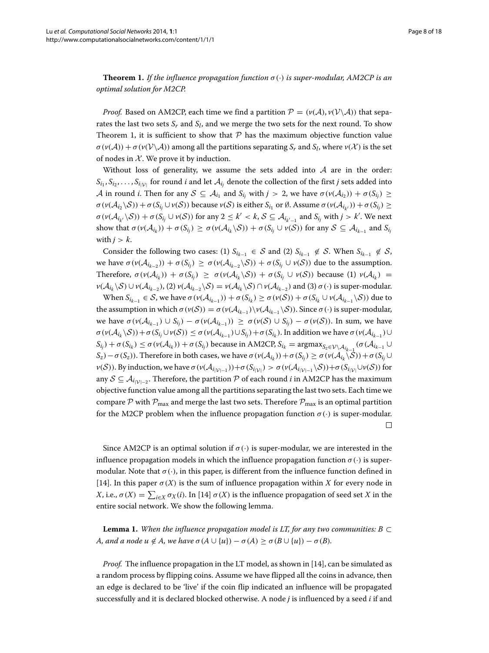<span id="page-7-0"></span>**Theorem 1.** *If the influence propagation function σ (*·*) is super-modular, AM2CP is an optimal solution for M2CP.*

*Proof.* Based on AM2CP, each time we find a partition  $\mathcal{P} = (\nu(\mathcal{A}), \nu(\mathcal{V}\setminus\mathcal{A}))$  that separates the last two sets *Sr* and *Sl*, and we merge the two sets for the next round. To show Theorem [1,](#page-7-0) it is sufficient to show that  $P$  has the maximum objective function value  $\sigma$  (*v*( $\mathcal{A}$ )) +  $\sigma$  (*v*( $\mathcal{V}\setminus\mathcal{A}$ )) among all the partitions separating *S<sub>r</sub>* and *S<sub>l</sub>*, where *v*( $\mathcal{X}$ ) is the set of nodes in  $X$ . We prove it by induction.

Without loss of generality, we assume the sets added into  $A$  are in the order:  $S_{i_1}, S_{i_2}, \ldots, S_{i_{|V|}}$  for round *i* and let  $A_{i_j}$  denote the collection of the first *j* sets added into  $\mathcal{A}$  in round *i*. Then for any  $\mathcal{S} \subseteq \mathcal{A}_{i_1}$  and  $S_{i_j}$  with  $j > 2$ , we have  $\sigma(\nu(\mathcal{A}_{i_2})) + \sigma(S_{i_j}) \geq 1$  $\sigma(\nu(\mathcal{A}_{i_2}\backslash\mathcal{S}))+\sigma(S_{i_j}\cup\nu(\mathcal{S}))$  because  $\nu(\mathcal{S})$  is either  $S_{i_1}$  or  $\emptyset$ . Assume  $\sigma(\nu(\mathcal{A}_{i_{k'}}))+\sigma(S_{i_j})\geq 0$  $\sigma$  (*v*( $A_{i_{k'}}\setminus S$ )) +  $\sigma$  ( $S_{i_j}$   $\cup$   $\nu(S)$ ) for any 2  $\leq$   $k' < k$ ,  $S \subseteq A_{i_{k'-1}}$  and  $S_{i_j}$  with  $j > k'$ . We next show that  $\sigma(\nu(\mathcal{A}_{i_k})) + \sigma(S_{i_j}) \ge \sigma(\nu(\mathcal{A}_{i_k}\backslash \mathcal{S})) + \sigma(S_{i_j}\cup \nu(\mathcal{S}))$  for any  $\mathcal{S} \subseteq \mathcal{A}_{i_{k-1}}$  and  $S_{i_j}$ with  $j > k$ .

Consider the following two cases: (1)  $S_{i_{k-1}} \in S$  and (2)  $S_{i_{k-1}} \notin S$ . When  $S_{i_{k-1}} \notin S$ ,  $w$ e have  $\sigma(\nu(\mathcal{A}_{i_{k-2}})) + \sigma(S_{i_j}) \geq \sigma(\nu(\mathcal{A}_{i_{k-2}} \setminus \mathcal{S})) + \sigma(S_{i_j} \cup \nu(\mathcal{S}))$  due to the assumption. Therefore,  $\sigma(\nu(A_{i_k})) + \sigma(S_{i_j}) \geq \sigma(\nu(A_{i_k} \setminus S)) + \sigma(S_{i_j} \cup \nu(S))$  because (1)  $\nu(A_{i_k}) =$  $\nu(\mathcal{A}_{i_k}\backslash \mathcal{S})\cup \nu(\mathcal{A}_{i_{k-2}}), (2)\nu(\mathcal{A}_{i_{k-2}}\backslash \mathcal{S})=\nu(\mathcal{A}_{i_k}\backslash \mathcal{S})\cap \nu(\mathcal{A}_{i_{k-2}})$  and (3)  $\sigma(\cdot)$  is super-modular.

When  $S_{i_{k-1}} \in S$ , we have  $\sigma(\nu(\mathcal{A}_{i_{k-1}})) + \sigma(S_{i_k}) \ge \sigma(\nu(S)) + \sigma(S_{i_k} \cup \nu(\mathcal{A}_{i_{k-1}} \setminus S))$  due to the assumption in which  $\sigma(\nu(\mathcal{S})) = \sigma(\nu(\mathcal{A}_{i_{k-1}})\setminus \nu(\mathcal{A}_{i_{k-1}}\setminus \mathcal{S}))$ . Since  $\sigma(\cdot)$  is super-modular, we have  $\sigma(\nu(\mathcal{A}_{i_{k-1}}) \cup S_{i_j}) - \sigma(\nu(\mathcal{A}_{i_{k-1}})) \ge \sigma(\nu(\mathcal{S}) \cup S_{i_j}) - \sigma(\nu(\mathcal{S}))$ . In sum, we have  $\sigma(v(\mathcal{A}_{i_k}\backslash\mathcal{S}))+\sigma(S_{i_j}\cup\nu(\mathcal{S}))\leq \sigma(v(\mathcal{A}_{i_{k-1}})\cup S_{i_j})+\sigma(S_{i_k}).$  In addition we have  $\sigma(v(\mathcal{A}_{i_{k-1}})\cup\mathcal{S}_{i_{k-1}})$  $S_{i_j}$ ) +  $\sigma(S_{i_k}) \leq \sigma(\nu(\mathcal{A}_{i_k})) + \sigma(S_{i_j})$  because in AM2CP,  $S_{i_k} = \argmax_{S_z \in \mathcal{V} \setminus \mathcal{A}_{i_{k-1}}} (\sigma(\mathcal{A}_{i_{k-1}} \cup S_{i_{k-1}}))$  $(S_z) - \sigma(S_z)$ ). Therefore in both cases, we have  $\sigma(\nu(\mathcal{A}_{i_k})) + \sigma(S_{i_j}) \ge \sigma(\nu(\mathcal{A}_{i_k}\backslash \mathcal{S})) + \sigma(S_{i_j}\cup \mathcal{S})$  $\nu(S)$ ). By induction, we have  $\sigma(\nu(\mathcal{A}_{i|{\mathcal{V}}|-1})) + \sigma(S_{i|{\mathcal{V}}|}) > \sigma(\nu(\mathcal{A}_{i|{\mathcal{V}}|-1}\setminus S)) + \sigma(S_{i|{\mathcal{V}}|}\cup \nu(S))$  for any  $S \subseteq A_{i_{|Y|=2}}$ . Therefore, the partition P of each round *i* in AM2CP has the maximum objective function value among all the partitions separating the last two sets. Each time we compare P with  $P_{\text{max}}$  and merge the last two sets. Therefore  $P_{\text{max}}$  is an optimal partition for the M2CP problem when the influence propagation function  $\sigma(\cdot)$  is super-modular.  $\Box$ 

Since AM2CP is an optimal solution if  $\sigma(\cdot)$  is super-modular, we are interested in the influence propagation models in which the influence propagation function  $\sigma(\cdot)$  is supermodular. Note that *σ (*·*)*, in this paper, is different from the influence function defined in [\[14\]](#page-16-4). In this paper  $\sigma(X)$  is the sum of influence propagation within *X* for every node in *X*, i.e.,  $\sigma(X) = \sum_{i \in X} \sigma_X(i)$ . In [\[14\]](#page-16-4)  $\sigma(X)$  is the influence propagation of seed set *X* in the entire social network. We show the following lemma.

<span id="page-7-1"></span>**Lemma 1.** *When the influence propagation model is LT, for any two communities: B*  $\subset$ *A, and a node u*  $\notin A$ *, we have*  $\sigma(A \cup \{u\}) - \sigma(A) > \sigma(B \cup \{u\}) - \sigma(B)$ *.* 

*Proof.* The influence propagation in the LT model, as shown in [\[14\]](#page-16-4), can be simulated as a random process by flipping coins. Assume we have flipped all the coins in advance, then an edge is declared to be 'live' if the coin flip indicated an influence will be propagated successfully and it is declared blocked otherwise. A node *j* is influenced by a seed *i* if and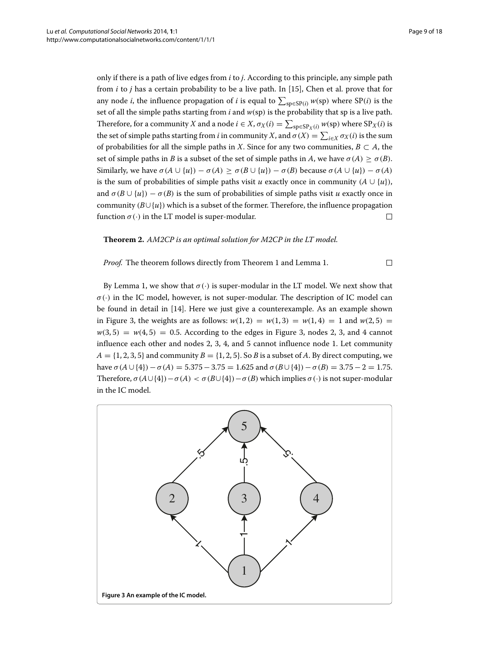only if there is a path of live edges from *i* to *j*. According to this principle, any simple path from *i* to *j* has a certain probability to be a live path. In [\[15\]](#page-16-6), Chen et al. prove that for any node *i*, the influence propagation of *i* is equal to  $\sum_{\text{sp}\in \text{SP}(i)}w(\text{sp})$  where  $\text{SP}(i)$  is the set of all the simple paths starting from *i* and *w(*sp*)* is the probability that sp is a live path. Therefore, for a community *X* and a node  $i \in X$ ,  $\sigma_X(i) = \sum_{\text{sp} \in \text{SP}_X(i)} w(\text{sp})$  where  $\text{SP}_X(i)$  is the set of simple paths starting from *i* in community *X*, and  $\sigma(X) = \sum_{i \in X} \sigma_X(i)$  is the sum of probabilities for all the simple paths in *X*. Since for any two communities,  $B \subset A$ , the set of simple paths in *B* is a subset of the set of simple paths in *A*, we have  $\sigma(A) > \sigma(B)$ . Similarly, we have  $\sigma(A \cup \{u\}) - \sigma(A) \ge \sigma(B \cup \{u\}) - \sigma(B)$  because  $\sigma(A \cup \{u\}) - \sigma(A)$ is the sum of probabilities of simple paths visit *u* exactly once in community  $(A \cup \{u\})$ , and  $\sigma(B \cup \{u\}) - \sigma(B)$  is the sum of probabilities of simple paths visit *u* exactly once in community  $(B \cup \{u\})$  which is a subset of the former. Therefore, the influence propagation function  $\sigma(\cdot)$  in the LT model is super-modular.  $\Box$ 

# **Theorem 2.** *AM2CP is an optimal solution for M2CP in the LT model.*

*Proof.* The theorem follows directly from Theorem [1](#page-7-0) and Lemma [1.](#page-7-1)  $\Box$ 

By Lemma [1,](#page-7-0) we show that  $\sigma(\cdot)$  is super-modular in the LT model. We next show that  $\sigma(\cdot)$  in the IC model, however, is not super-modular. The description of IC model can be found in detail in [\[14\]](#page-16-4). Here we just give a counterexample. As an example shown in Figure [3,](#page-8-0) the weights are as follows:  $w(1, 2) = w(1, 3) = w(1, 4) = 1$  and  $w(2, 5) = w(1, 4) = 1$  $w(3,5) = w(4,5) = 0.5$ . According to the edges in Figure [3,](#page-8-0) nodes 2, 3, and 4 cannot influence each other and nodes 2, 3, 4, and 5 cannot influence node 1. Let community  $A = \{1, 2, 3, 5\}$  and community  $B = \{1, 2, 5\}$ . So *B* is a subset of *A*. By direct computing, we have  $\sigma(A \cup \{4\}) - \sigma(A) = 5.375 - 3.75 = 1.625$  and  $\sigma(B \cup \{4\}) - \sigma(B) = 3.75 - 2 = 1.75$ . Therefore,  $\sigma(A \cup \{4\}) - \sigma(A) < \sigma(B \cup \{4\}) - \sigma(B)$  which implies  $\sigma(\cdot)$  is not super-modular in the IC model.

<span id="page-8-0"></span>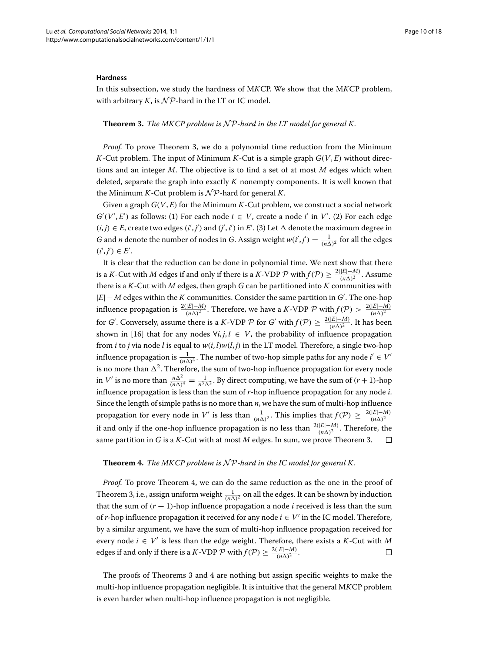#### **Hardness**

In this subsection, we study the hardness of M*K*CP. We show that the M*K*CP problem, with arbitrary  $K$ , is  $N \mathcal{P}$ -hard in the LT or IC model.

<span id="page-9-0"></span>**Theorem 3.** *The MKCP problem is*  $\mathcal{NP}$ -hard in the LT model for general K.

*Proof.* To prove Theorem [3,](#page-9-0) we do a polynomial time reduction from the Minimum *K*-Cut problem. The input of Minimum *K*-Cut is a simple graph  $G(V, E)$  without directions and an integer *M*. The objective is to find a set of at most *M* edges which when deleted, separate the graph into exactly *K* nonempty components. It is well known that the Minimum *K*-Cut problem is  $\mathcal{NP}$ -hard for general *K*.

Given a graph *G(V*, *E)* for the Minimum *K*-Cut problem, we construct a social network *G*<sup> $\prime$ </sup> (*V'*, *E'*) as follows: (1) For each node *i*  $\in$  *V*, create a node *i*<sup> $\prime$ </sup> in *V'*. (2) For each edge *(i, j)* ∈ *E*, create two edges  $(i', j')$  and  $(j', i')$  in *E'*. (3) Let  $\Delta$  denote the maximum degree in *G* and *n* denote the number of nodes in *G*. Assign weight  $w(i',j') = \frac{1}{(n\Delta)^2}$  for all the edges  $(i', j') \in E'.$ 

It is clear that the reduction can be done in polynomial time. We next show that there is a *K*-Cut with *M* edges if and only if there is a *K*-VDP  $\mathcal{P}$  with  $f(\mathcal{P}) \geq \frac{2(|E| - M)}{(n\Delta)^2}$ . Assume there is a *K*-Cut with *M* edges, then graph *G* can be partitioned into *K* communities with |*E*|−*M* edges within the *K* communities. Consider the same partition in *G* . The one-hop influence propagation is  $\frac{2(|E| - M)}{(n\Delta)^2}$ . Therefore, we have a *K*-VDP  $\mathcal P$  with  $f(\mathcal P) > \frac{2(|E| - M)}{(n\Delta)^2}$ for *G'*. Conversely, assume there is a *K*-VDP  $\mathcal P$  for *G'* with  $f(\mathcal P)\geq \frac{2(|E|-M)}{(n\Delta)^2}$ . It has been shown in [\[16\]](#page-16-5) that for any nodes  $\forall i, j, l \in V$ , the probability of influence propagation from *i* to *j* via node *l* is equal to *w(i*, *l)w(l*, *j)* in the LT model. Therefore, a single two-hop influence propagation is  $\frac{1}{(n\Delta)^4}$ . The number of two-hop simple paths for any node  $i' \in V'$ is no more than  $\Delta^2$ . Therefore, the sum of two-hop influence propagation for every node in  $V'$  is no more than  $\frac{n\Delta^2}{(n\Delta)^4} = \frac{1}{n^3\Delta^2}$ . By direct computing, we have the sum of  $(r+1)$ -hop influence propagation is less than the sum of *r*-hop influence propagation for any node *i*. Since the length of simple paths is no more than *n*, we have the sum of multi-hop influence propagation for every node in *V'* is less than  $\frac{1}{(n\Delta)^2}$ . This implies that  $f(\mathcal{P}) \ge \frac{2(|E| - M)}{(n\Delta)^2}$ if and only if the one-hop influence propagation is no less than  $\frac{2(|E| - M)}{(n\Delta)^2}$ . Therefore, the same partition in *G* is a *K*-Cut with at most *M* edges. In sum, we prove Theorem [3.](#page-9-0)  $\Box$ 

#### <span id="page-9-1"></span>**Theorem 4.** *The MKCP problem is* N P*-hard in the IC model for general K.*

*Proof.* To prove Theorem [4,](#page-9-1) we can do the same reduction as the one in the proof of Theorem [3,](#page-9-0) i.e., assign uniform weight  $\frac{1}{(n\Delta)^2}$  on all the edges. It can be shown by induction that the sum of  $(r + 1)$ -hop influence propagation a node *i* received is less than the sum of *r*-hop influence propagation it received for any node  $i \in V'$  in the IC model. Therefore, by a similar argument, we have the sum of multi-hop influence propagation received for every node  $i \in V'$  is less than the edge weight. Therefore, there exists a *K*-Cut with *M* edges if and only if there is a *K*-VDP  $\mathcal{P}$  with  $f(\mathcal{P}) \ge \frac{2(|E| - M)}{(n\Delta)^2}$ .  $\Box$ 

The proofs of Theorems [3](#page-9-0) and [4](#page-9-1) are nothing but assign specific weights to make the multi-hop influence propagation negligible. It is intuitive that the general M*K*CP problem is even harder when multi-hop influence propagation is not negligible.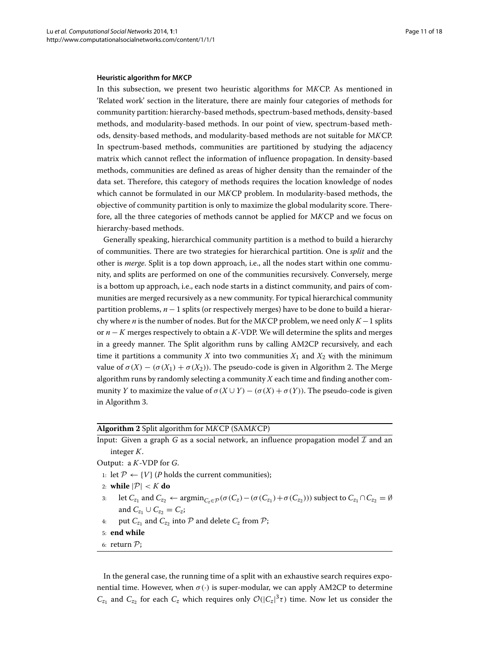#### **Heuristic algorithm for M***K***CP**

In this subsection, we present two heuristic algorithms for M*K*CP. As mentioned in ['Related work'](#page-1-0) section in the literature, there are mainly four categories of methods for community partition: hierarchy-based methods, spectrum-based methods, density-based methods, and modularity-based methods. In our point of view, spectrum-based methods, density-based methods, and modularity-based methods are not suitable for M*K*CP. In spectrum-based methods, communities are partitioned by studying the adjacency matrix which cannot reflect the information of influence propagation. In density-based methods, communities are defined as areas of higher density than the remainder of the data set. Therefore, this category of methods requires the location knowledge of nodes which cannot be formulated in our M*K*CP problem. In modularity-based methods, the objective of community partition is only to maximize the global modularity score. Therefore, all the three categories of methods cannot be applied for M*K*CP and we focus on hierarchy-based methods.

Generally speaking, hierarchical community partition is a method to build a hierarchy of communities. There are two strategies for hierarchical partition. One is *split* and the other is *merge*. Split is a top down approach, i.e., all the nodes start within one community, and splits are performed on one of the communities recursively. Conversely, merge is a bottom up approach, i.e., each node starts in a distinct community, and pairs of communities are merged recursively as a new community. For typical hierarchical community partition problems, *n* − 1 splits (or respectively merges) have to be done to build a hierarchy where *n* is the number of nodes. But for the M*K*CP problem, we need only *K* −1 splits or *n* − *K* merges respectively to obtain a *K*-VDP. We will determine the splits and merges in a greedy manner. The Split algorithm runs by calling AM2CP recursively, and each time it partitions a community *X* into two communities  $X_1$  and  $X_2$  with the minimum value of  $\sigma(X) - (\sigma(X_1) + \sigma(X_2))$ . The pseudo-code is given in Algorithm [2.](#page-10-0) The Merge algorithm runs by randomly selecting a community *X* each time and finding another community *Y* to maximize the value of  $\sigma(X \cup Y) - (\sigma(X) + \sigma(Y))$ . The pseudo-code is given in Algorithm [3.](#page-11-1)

#### <span id="page-10-0"></span>**Algorithm 2** Split algorithm for M*K*CP (SAM*K*CP)

Input: Given a graph  $G$  as a social network, an influence propagation model  $I$  and an integer *K*.

Output: a *K*-VDP for *G*.

1: let  $\mathcal{P} \leftarrow \{V\}$  (*P* holds the current communities);

2: **while**  $|\mathcal{P}| < K$  **do** 

- 3: let  $C_{z_1}$  and  $C_{z_2} \leftarrow \text{argmin}_{C_z \in \mathcal{P}} (\sigma(C_z) (\sigma(C_{z_1}) + \sigma(C_{z_2})))$  subject to  $C_{z_1} \cap C_{z_2} = \emptyset$ and  $C_{z_1} \cup C_{z_2} = C_z$ ;
- 4: put  $C_{z_1}$  and  $C_{z_2}$  into  $P$  and delete  $C_z$  from  $P$ ;

In the general case, the running time of a split with an exhaustive search requires exponential time. However, when  $\sigma(\cdot)$  is super-modular, we can apply AM2CP to determine  $C_{z_1}$  and  $C_{z_2}$  for each  $C_z$  which requires only  $\mathcal{O}(|C_z|^3 \tau)$  time. Now let us consider the

<sup>5:</sup> **end while**

<sup>6:</sup> return P;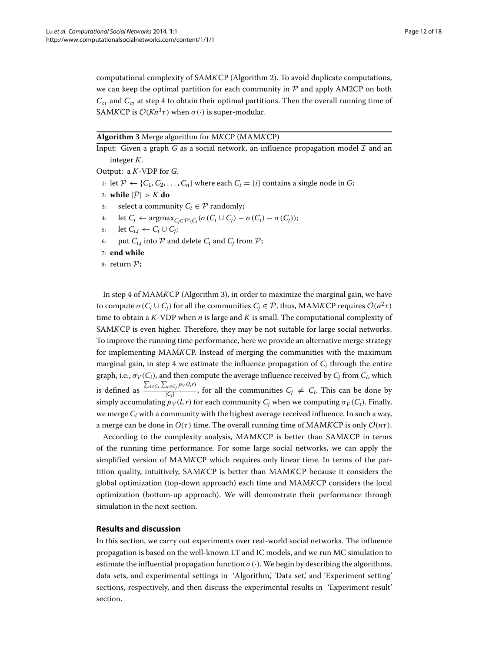computational complexity of SAM*K*CP (Algorithm [2\)](#page-10-0). To avoid duplicate computations, we can keep the optimal partition for each community in  $P$  and apply AM2CP on both  $C_{z_1}$  and  $C_{z_2}$  at step 4 to obtain their optimal partitions. Then the overall running time of SAM*K*CP is  $O(Kn^3\tau)$  when  $\sigma(\cdot)$  is super-modular.

#### <span id="page-11-1"></span>**Algorithm 3** Merge algorithm for M*K*CP (MAM*K*CP)

Input: Given a graph *G* as a social network, an influence propagation model  $I$  and an integer *K*.

Output: a *K*-VDP for *G*.

1: let  $\mathcal{P} \leftarrow \{C_1, C_2, \ldots, C_n\}$  where each  $C_i = \{i\}$  contains a single node in *G*;

- 2: **while**  $|\mathcal{P}| > K$  **do**
- 3: select a community  $C_i \in \mathcal{P}$  randomly;
- 4: let  $C_j \leftarrow \operatorname{argmax}_{C_j \in \mathcal{P} \setminus C_i} (\sigma(C_i \cup C_j) \sigma(C_i) \sigma(C_j));$
- 5: let  $C_{i,j} \leftarrow C_i \cup C_j$ ;
- 6: put  $C_{i,j}$  into  $P$  and delete  $C_i$  and  $C_j$  from  $P$ ;
- 7: **end while**
- 8: return  $\mathcal{P}$ ;

In step 4 of MAM*K*CP (Algorithm [3\)](#page-11-1), in order to maximize the marginal gain, we have to compute  $\sigma(C_i \cup C_j)$  for all the communities  $C_i \in \mathcal{P}$ , thus, MAM*KCP* requires  $\mathcal{O}(n^2 \tau)$ time to obtain a *K*-VDP when *n* is large and *K* is small. The computational complexity of SAM*K*CP is even higher. Therefore, they may be not suitable for large social networks. To improve the running time performance, here we provide an alternative merge strategy for implementing MAM*K*CP. Instead of merging the communities with the maximum marginal gain, in step 4 we estimate the influence propagation of *Ci* through the entire graph, i.e.,  $\sigma_V(C_i)$ , and then compute the average influence received by  $C_i$  from  $C_i$ , which is defined as  $\frac{\sum_{l \in C_i} \sum_{r \in C_j} p_V(l,r)}{|C_j|}$ , for all the communities  $C_j \neq C_i$ . This can be done by simply accumulating  $p_V(l,r)$  for each community  $C_i$  when we computing  $\sigma_V(C_i)$ . Finally, we merge *Ci* with a community with the highest average received influence. In such a way, a merge can be done in  $O(\tau)$  time. The overall running time of MAM*KCP* is only  $O(n\tau)$ .

According to the complexity analysis, MAM*K*CP is better than SAM*K*CP in terms of the running time performance. For some large social networks, we can apply the simplified version of MAM*K*CP which requires only linear time. In terms of the partition quality, intuitively, SAM*K*CP is better than MAM*K*CP because it considers the global optimization (top-down approach) each time and MAM*K*CP considers the local optimization (bottom-up approach). We will demonstrate their performance through simulation in the next section.

# <span id="page-11-0"></span>**Results and discussion**

In this section, we carry out experiments over real-world social networks. The influence propagation is based on the well-known LT and IC models, and we run MC simulation to estimate the influential propagation function  $\sigma(\cdot)$ . We begin by describing the algorithms, data sets, and experimental settings in ['Algorithm,'](#page-12-0) ['Data set,](#page-12-1)' and ['Experiment setting'](#page-12-2) sections, respectively, and then discuss the experimental results in ['Experiment result'](#page-12-3) section.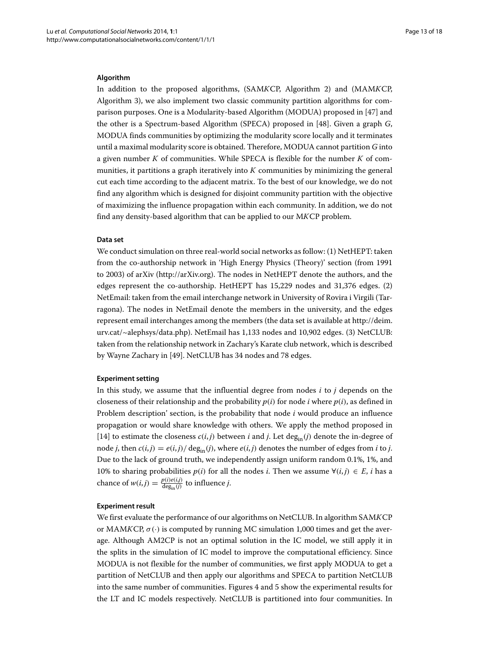#### <span id="page-12-0"></span>**Algorithm**

In addition to the proposed algorithms, (SAM*K*CP, Algorithm [2\)](#page-10-0) and (MAM*K*CP, Algorithm [3\)](#page-11-1), we also implement two classic community partition algorithms for comparison purposes. One is a Modularity-based Algorithm (MODUA) proposed in [\[47\]](#page-17-17) and the other is a Spectrum-based Algorithm (SPECA) proposed in [\[48\]](#page-17-18). Given a graph *G*, MODUA finds communities by optimizing the modularity score locally and it terminates until a maximal modularity score is obtained. Therefore, MODUA cannot partition *G* into a given number *K* of communities. While SPECA is flexible for the number *K* of communities, it partitions a graph iteratively into *K* communities by minimizing the general cut each time according to the adjacent matrix. To the best of our knowledge, we do not find any algorithm which is designed for disjoint community partition with the objective of maximizing the influence propagation within each community. In addition, we do not find any density-based algorithm that can be applied to our M*K*CP problem.

#### <span id="page-12-1"></span>**Data set**

We conduct simulation on three real-world social networks as follow: (1) NetHEPT: taken from the co-authorship network in 'High Energy Physics (Theory)' section (from 1991 to 2003) of arXiv [\(http://arXiv.org\)](http://arXiv.org). The nodes in NetHEPT denote the authors, and the edges represent the co-authorship. HetHEPT has 15,229 nodes and 31,376 edges. (2) NetEmail: taken from the email interchange network in University of Rovira i Virgili (Tarragona). The nodes in NetEmail denote the members in the university, and the edges represent email interchanges among the members (the data set is available at [http://deim.](http://deim.urv.cat/~alephsys/data.php) [urv.cat/~alephsys/data.php\)](http://deim.urv.cat/~alephsys/data.php). NetEmail has 1,133 nodes and 10,902 edges. (3) NetCLUB: taken from the relationship network in Zachary's Karate club network, which is described by Wayne Zachary in [\[49\]](#page-17-19). NetCLUB has 34 nodes and 78 edges.

#### <span id="page-12-2"></span>**Experiment setting**

In this study, we assume that the influential degree from nodes *i* to *j* depends on the closeness of their relationship and the probability  $p(i)$  for node *i* where  $p(i)$ , as defined in [Problem description'](#page-3-0) section, is the probability that node *i* would produce an influence propagation or would share knowledge with others. We apply the method proposed in [\[14\]](#page-16-4) to estimate the closeness  $c(i, j)$  between *i* and *j*. Let deg<sub>in</sub> $(j)$  denote the in-degree of node *j*, then  $c(i, j) = e(i, j) / \text{deg}_{\text{in}}(j)$ , where  $e(i, j)$  denotes the number of edges from *i* to *j*. Due to the lack of ground truth, we independently assign uniform random 0.1%, 1%, and 10% to sharing probabilities  $p(i)$  for all the nodes *i*. Then we assume  $\forall (i, j) \in E$ , *i* has a chance of  $w(i, j) = \frac{p(i)e(i,j)}{\deg_{\text{in}}(j)}$  to influence *j*.

#### <span id="page-12-3"></span>**Experiment result**

We first evaluate the performance of our algorithms on NetCLUB. In algorithm SAM*K*CP or MAM*K*CP, *σ (*·*)* is computed by running MC simulation 1,000 times and get the average. Although AM2CP is not an optimal solution in the IC model, we still apply it in the splits in the simulation of IC model to improve the computational efficiency. Since MODUA is not flexible for the number of communities, we first apply MODUA to get a partition of NetCLUB and then apply our algorithms and SPECA to partition NetCLUB into the same number of communities. Figures [4](#page-13-0) and [5](#page-13-1) show the experimental results for the LT and IC models respectively. NetCLUB is partitioned into four communities. In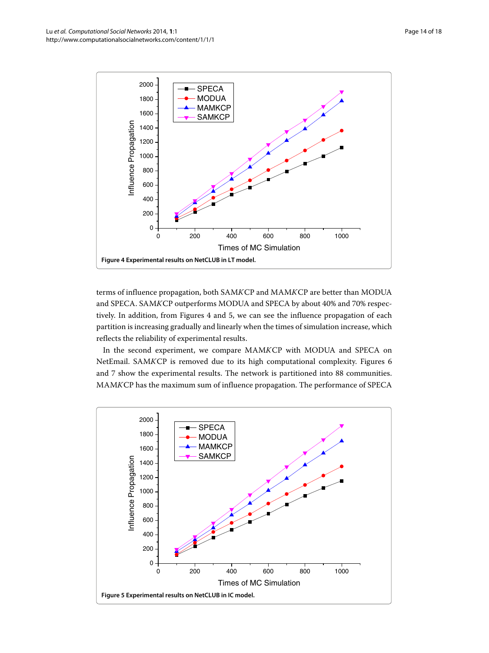

<span id="page-13-0"></span>terms of influence propagation, both SAM*K*CP and MAM*K*CP are better than MODUA and SPECA. SAM*K*CP outperforms MODUA and SPECA by about 40% and 70% respectively. In addition, from Figures [4](#page-13-0) and [5,](#page-13-1) we can see the influence propagation of each partition is increasing gradually and linearly when the times of simulation increase, which reflects the reliability of experimental results.

In the second experiment, we compare MAM*K*CP with MODUA and SPECA on NetEmail. SAM*K*CP is removed due to its high computational complexity. Figures [6](#page-14-0) and [7](#page-14-1) show the experimental results. The network is partitioned into 88 communities. MAM*K*CP has the maximum sum of influence propagation. The performance of SPECA

<span id="page-13-1"></span>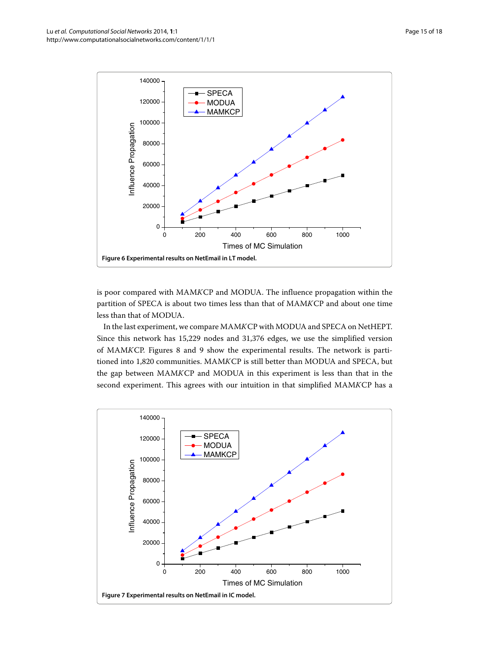

<span id="page-14-0"></span>is poor compared with MAM*K*CP and MODUA. The influence propagation within the partition of SPECA is about two times less than that of MAM*K*CP and about one time less than that of MODUA.

In the last experiment, we compare MAM*K*CP with MODUA and SPECA on NetHEPT. Since this network has 15,229 nodes and 31,376 edges, we use the simplified version of MAM*K*CP. Figures [8](#page-15-1) and [9](#page-15-2) show the experimental results. The network is partitioned into 1,820 communities. MAM*K*CP is still better than MODUA and SPECA, but the gap between MAM*K*CP and MODUA in this experiment is less than that in the second experiment. This agrees with our intuition in that simplified MAM*K*CP has a

<span id="page-14-1"></span>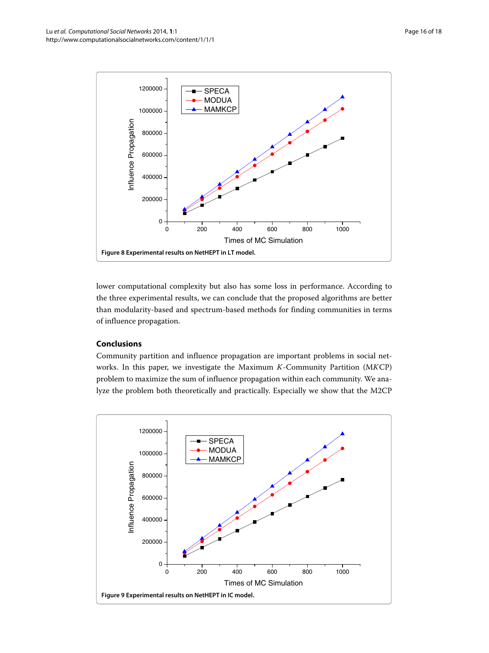

<span id="page-15-1"></span>lower computational complexity but also has some loss in performance. According to the three experimental results, we can conclude that the proposed algorithms are better than modularity-based and spectrum-based methods for finding communities in terms of influence propagation.

# <span id="page-15-0"></span>**Conclusions**

Community partition and influence propagation are important problems in social networks. In this paper, we investigate the Maximum *K*-Community Partition (M*K*CP) problem to maximize the sum of influence propagation within each community. We analyze the problem both theoretically and practically. Especially we show that the M2CP

<span id="page-15-2"></span>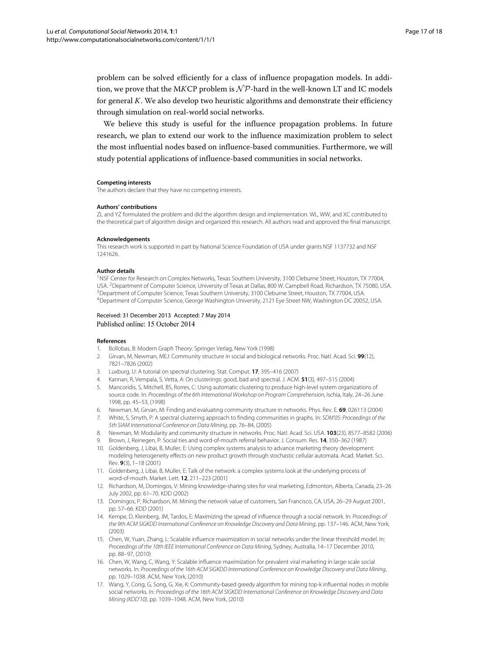problem can be solved efficiently for a class of influence propagation models. In addition, we prove that the M*KCP* problem is  $\mathcal{NP}$ -hard in the well-known LT and IC models for general *K*. We also develop two heuristic algorithms and demonstrate their efficiency through simulation on real-world social networks.

We believe this study is useful for the influence propagation problems. In future research, we plan to extend our work to the influence maximization problem to select the most influential nodes based on influence-based communities. Furthermore, we will study potential applications of influence-based communities in social networks.

#### **Competing interests**

The authors declare that they have no competing interests.

#### **Authors' contributions**

ZL and YZ formulated the problem and did the algorithm design and implementation. WL, WW, and XC contributed to the theoretical part of algorithm design and organized this research. All authors read and approved the final manuscript.

#### **Acknowledgements**

This research work is supported in part by National Science Foundation of USA under grants NSF 1137732 and NSF 1241626.

#### **Author details**

<sup>1</sup>NSF Center for Research on Complex Networks, Texas Southern University, 3100 Cleburne Street, Houston, TX 77004, USA. 2Department of Computer Science, University of Texas at Dallas, 800 W. Campbell Road, Richardson, TX 75080, USA. <sup>3</sup>Department of Computer Science, Texas Southern University, 3100 Cleburne Street, Houston, TX 77004, USA. 4Department of Computer Science, George Washington University, 2121 Eye Street NW, Washington DC 20052, USA.

#### Received: 31 December 2013 Accepted: 7 May 2014 Published online: 15 October 2014

#### **References**

- <span id="page-16-0"></span>1. Bollobas, B: Modern Graph Theory. Springer Verlag, New York (1998)
- <span id="page-16-9"></span>2. Girvan, M, Newman, MEJ: Community structure in social and biological networks. Proc. Natl. Acad. Sci. **99**(12), 7821–7826 (2002)
- <span id="page-16-10"></span>3. Luxburg, U: A tutorial on spectral clustering. Stat. Comput. **17**, 395–416 (2007)
- <span id="page-16-11"></span>4. Kannan, R, Vempala, S, Vetta, A: On clusterings: good, bad and spectral. J. ACM. **51**(3), 497–515 (2004)
- <span id="page-16-12"></span>5. Mancoridis, S, Mitchell, BS, Rorres, C: Using automatic clustering to produce high-level system organizations of source code. In: Proceedings of the 6th International Workshop on Program Comprehension, Ischia, Italy, 24–26 June 1998, pp. 45–53, (1998)
- <span id="page-16-8"></span>6. Newman, M, Girvan, M: Finding and evaluating community structure in networks. Phys. Rev. E. **69**, 026113 (2004)
- 7. White, S, Smyth, P: A spectral clustering approach to finding communities in graphs. In: SDM'05: Proceedings of the 5th SIAM International Conference on Data Mining, pp. 76–84, (2005)
- <span id="page-16-1"></span>8. Newman, M: Modularity and community structure in networks. Proc. Natl. Acad. Sci. USA. **103**(23), 8577–8582 (2006)
- <span id="page-16-2"></span>9. Brown, J, Reinegen, P: Social ties and word-of-mouth referral behavior. J. Consum. Res. **14**, 350–362 (1987)
- 10. Goldenberg, J, Libai, B, Muller, E: Using complex systems analysis to advance marketing theory development: modeling heterogeneity effects on new product growth through stochastic cellular automata. Acad. Market. Sci. Rev. **9**(3), 1–18 (2001)
- 11. Goldenberg, J, Libai, B, Muller, E: Talk of the network: a complex systems look at the underlying process of word-of-mouth. Market. Lett. **12**, 211–223 (2001)
- <span id="page-16-13"></span>12. Richardson, M, Domingos, V: Mining knowledge-sharing sites for viral marketing, Edmonton, Alberta, Canada, 23–26 July 2002, pp. 61–70. KDD (2002)
- <span id="page-16-3"></span>13. Domingos, P, Richardson, M: Mining the network value of customers, San Francisco, CA, USA, 26–29 August 2001, pp. 57–66. KDD (2001)
- <span id="page-16-4"></span>14. Kempe, D, Kleinberg, JM, Tardos, E: Maximizing the spread of influence through a social network. In: Proceedings of the 9th ACM SIGKDD International Conference on Knowledge Discovery and Data Mining, pp. 137–146. ACM, New York, (2003)
- <span id="page-16-6"></span>15. Chen, W, Yuan, Zhang, L: Scalable influence maximization in social networks under the linear threshold model. In: Proceedings of the 10th IEEE International Conference on Data Mining, Sydney, Australia, 14–17 December 2010, pp. 88–97, (2010)
- <span id="page-16-5"></span>16. Chen, W, Wang, C, Wang, Y: Scalable influence maximization for prevalent viral marketing in large-scale social networks. In: Proceedings of the 16th ACM SIGKDD International Conference on Knowledge Discovery and Data Mining, pp. 1029–1038. ACM, New York, (2010)
- <span id="page-16-7"></span>17. Wang, Y, Cong, G, Song, G, Xie, K: Community-based greedy algorithm for mining top-k influential nodes in mobile social networks. In: Proceedings of the 16th ACM SIGKDD International Conference on Knowledge Discovery and Data Mining (KDD'10), pp. 1039–1048. ACM, New York, (2010)